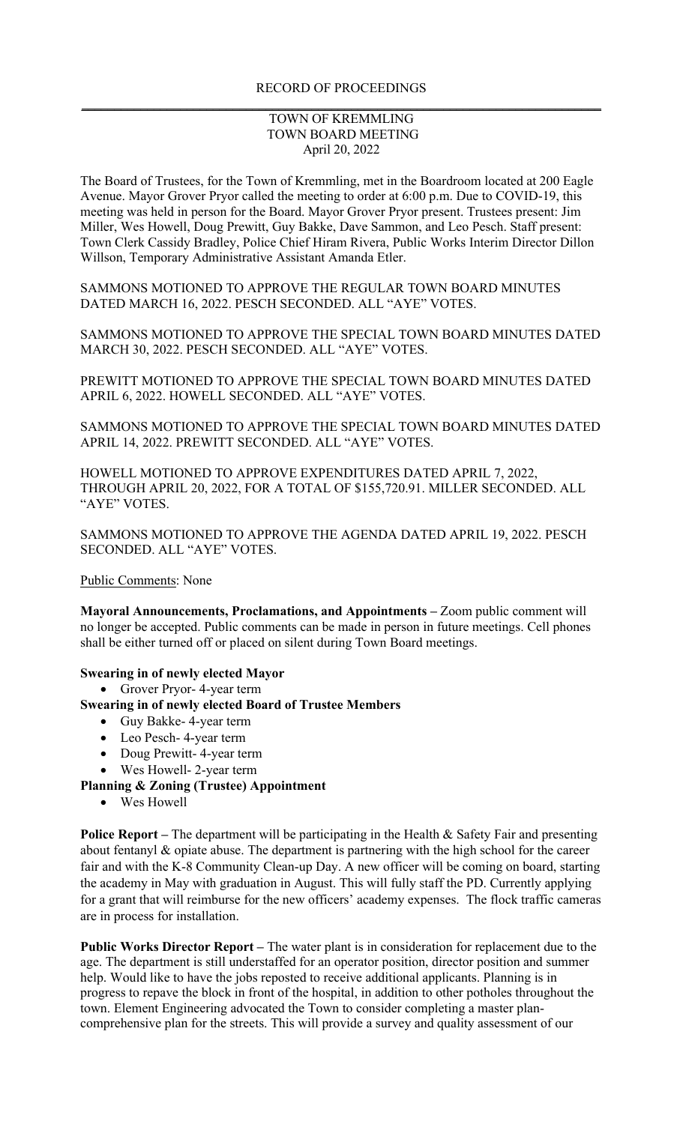# RECORD OF PROCEEDINGS **\_\_\_\_\_\_\_\_\_\_\_\_\_\_\_\_\_\_\_\_\_\_\_\_\_\_\_\_\_\_\_\_\_\_\_\_\_\_\_\_\_\_\_\_\_\_\_\_\_\_\_\_\_\_\_\_\_\_\_\_\_\_\_\_\_\_\_\_\_\_\_\_\_\_\_\_\_\_\_**

# TOWN OF KREMMLING TOWN BOARD MEETING April 20, 2022

The Board of Trustees, for the Town of Kremmling, met in the Boardroom located at 200 Eagle Avenue. Mayor Grover Pryor called the meeting to order at 6:00 p.m. Due to COVID-19, this meeting was held in person for the Board. Mayor Grover Pryor present. Trustees present: Jim Miller, Wes Howell, Doug Prewitt, Guy Bakke, Dave Sammon, and Leo Pesch. Staff present: Town Clerk Cassidy Bradley, Police Chief Hiram Rivera, Public Works Interim Director Dillon Willson, Temporary Administrative Assistant Amanda Etler.

SAMMONS MOTIONED TO APPROVE THE REGULAR TOWN BOARD MINUTES DATED MARCH 16, 2022. PESCH SECONDED. ALL "AYE" VOTES.

SAMMONS MOTIONED TO APPROVE THE SPECIAL TOWN BOARD MINUTES DATED MARCH 30, 2022. PESCH SECONDED. ALL "AYE" VOTES.

PREWITT MOTIONED TO APPROVE THE SPECIAL TOWN BOARD MINUTES DATED APRIL 6, 2022. HOWELL SECONDED. ALL "AYE" VOTES.

SAMMONS MOTIONED TO APPROVE THE SPECIAL TOWN BOARD MINUTES DATED APRIL 14, 2022. PREWITT SECONDED. ALL "AYE" VOTES.

HOWELL MOTIONED TO APPROVE EXPENDITURES DATED APRIL 7, 2022, THROUGH APRIL 20, 2022, FOR A TOTAL OF \$155,720.91. MILLER SECONDED. ALL "AYE" VOTES.

SAMMONS MOTIONED TO APPROVE THE AGENDA DATED APRIL 19, 2022. PESCH SECONDED. ALL "AYE" VOTES.

Public Comments: None

**Mayoral Announcements, Proclamations, and Appointments –** Zoom public comment will no longer be accepted. Public comments can be made in person in future meetings. Cell phones shall be either turned off or placed on silent during Town Board meetings.

#### **Swearing in of newly elected Mayor**

• Grover Pryor- 4-year term

# **Swearing in of newly elected Board of Trustee Members**

- Guy Bakke- 4-year term
- Leo Pesch- 4-year term
- Doug Prewitt- 4-year term
- Wes Howell- 2-year term

### **Planning & Zoning (Trustee) Appointment**

• Wes Howell

**Police Report** – The department will be participating in the Health & Safety Fair and presenting about fentanyl & opiate abuse. The department is partnering with the high school for the career fair and with the K-8 Community Clean-up Day. A new officer will be coming on board, starting the academy in May with graduation in August. This will fully staff the PD. Currently applying for a grant that will reimburse for the new officers' academy expenses. The flock traffic cameras are in process for installation.

**Public Works Director Report –** The water plant is in consideration for replacement due to the age. The department is still understaffed for an operator position, director position and summer help. Would like to have the jobs reposted to receive additional applicants. Planning is in progress to repave the block in front of the hospital, in addition to other potholes throughout the town. Element Engineering advocated the Town to consider completing a master plancomprehensive plan for the streets. This will provide a survey and quality assessment of our